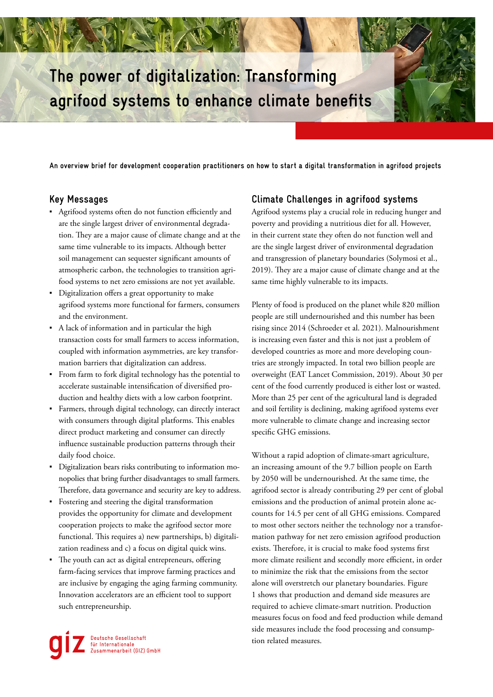# **The power of digitalization: Transforming agrifood systems to enhance climate benefits**

**An overview brief for development cooperation practitioners on how to start a digital transformation in agrifood projects**

## **Key Messages**

- Agrifood systems often do not function efficiently and are the single largest driver of environmental degradation. They are a major cause of climate change and at the same time vulnerable to its impacts. Although better soil management can sequester significant amounts of atmospheric carbon, the technologies to transition agrifood systems to net zero emissions are not yet available.
- Digitalization offers a great opportunity to make agrifood systems more functional for farmers, consumers and the environment.
- A lack of information and in particular the high transaction costs for small farmers to access information, coupled with information asymmetries, are key transformation barriers that digitalization can address.
- From farm to fork digital technology has the potential to accelerate sustainable intensification of diversified production and healthy diets with a low carbon footprint.
- Farmers, through digital technology, can directly interact with consumers through digital platforms. This enables direct product marketing and consumer can directly influence sustainable production patterns through their daily food choice.
- Digitalization bears risks contributing to information monopolies that bring further disadvantages to small farmers. Therefore, data governance and security are key to address.
- Fostering and steering the digital transformation provides the opportunity for climate and development cooperation projects to make the agrifood sector more functional. This requires a) new partnerships, b) digitalization readiness and c) a focus on digital quick wins.
- The youth can act as digital entrepreneurs, offering farm-facing services that improve farming practices and are inclusive by engaging the aging farming community. Innovation accelerators are an efficient tool to support such entrepreneurship.

Deutsche Gesellschaft<br>für Internationale<br>Zusammenarbeit (GIZ) GmbH

### **Climate Challenges in agrifood systems**

Agrifood systems play a crucial role in reducing hunger and poverty and providing a nutritious diet for all. However, in their current state they often do not function well and are the single largest driver of environmental degradation and transgression of planetary boundaries (Solymosi et al., 2019). They are a major cause of climate change and at the same time highly vulnerable to its impacts.

Plenty of food is produced on the planet while 820 million people are still undernourished and this number has been rising since 2014 (Schroeder et al. 2021). Malnourishment is increasing even faster and this is not just a problem of developed countries as more and more developing countries are strongly impacted. In total two billion people are overweight (EAT Lancet Commission, 2019). About 30 per cent of the food currently produced is either lost or wasted. More than 25 per cent of the agricultural land is degraded and soil fertility is declining, making agrifood systems ever more vulnerable to climate change and increasing sector specific GHG emissions.

Without a rapid adoption of climate-smart agriculture, an increasing amount of the 9.7 billion people on Earth by 2050 will be undernourished. At the same time, the agrifood sector is already contributing 29 per cent of global emissions and the production of animal protein alone accounts for 14.5 per cent of all GHG emissions. Compared to most other sectors neither the technology nor a transformation pathway for net zero emission agrifood production exists. Therefore, it is crucial to make food systems first more climate resilient and secondly more efficient, in order to minimize the risk that the emissions from the sector alone will overstretch our planetary boundaries. Figure 1 shows that production and demand side measures are required to achieve climate-smart nutrition. Production measures focus on food and feed production while demand side measures include the food processing and consumption related measures.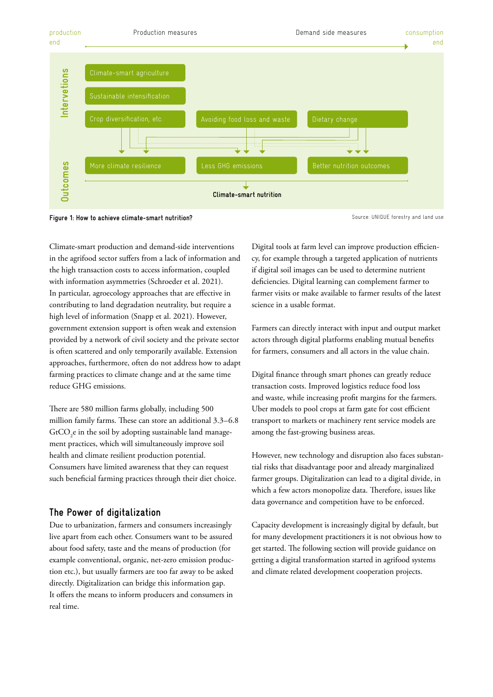

**Figure 1: How to achieve climate-smart nutrition?**

Source: UNIQUE forestry and land use

Climate-smart production and demand-side interventions in the agrifood sector suffers from a lack of information and the high transaction costs to access information, coupled with information asymmetries (Schroeder et al. 2021). In particular, agroecology approaches that are effective in contributing to land degradation neutrality, but require a high level of information (Snapp et al. 2021). However, government extension support is often weak and extension provided by a network of civil society and the private sector is often scattered and only temporarily available. Extension approaches, furthermore, often do not address how to adapt farming practices to climate change and at the same time reduce GHG emissions.

There are 580 million farms globally, including 500 million family farms. These can store an additional 3.3–6.8  $\rm{GtCO}_{2}$ e in the soil by adopting sustainable land management practices, which will simultaneously improve soil health and climate resilient production potential. Consumers have limited awareness that they can request such beneficial farming practices through their diet choice.

## **The Power of digitalization**

Due to urbanization, farmers and consumers increasingly live apart from each other. Consumers want to be assured about food safety, taste and the means of production (for example conventional, organic, net-zero emission production etc.), but usually farmers are too far away to be asked directly. Digitalization can bridge this information gap. It offers the means to inform producers and consumers in real time.

Digital tools at farm level can improve production efficiency, for example through a targeted application of nutrients if digital soil images can be used to determine nutrient deficiencies. Digital learning can complement farmer to farmer visits or make available to farmer results of the latest science in a usable format.

Farmers can directly interact with input and output market actors through digital platforms enabling mutual benefits for farmers, consumers and all actors in the value chain.

Digital finance through smart phones can greatly reduce transaction costs. Improved logistics reduce food loss and waste, while increasing profit margins for the farmers. Uber models to pool crops at farm gate for cost efficient transport to markets or machinery rent service models are among the fast-growing business areas.

However, new technology and disruption also faces substantial risks that disadvantage poor and already marginalized farmer groups. Digitalization can lead to a digital divide, in which a few actors monopolize data. Therefore, issues like data governance and competition have to be enforced.

Capacity development is increasingly digital by default, but for many development practitioners it is not obvious how to get started. The following section will provide guidance on getting a digital transformation started in agrifood systems and climate related development cooperation projects.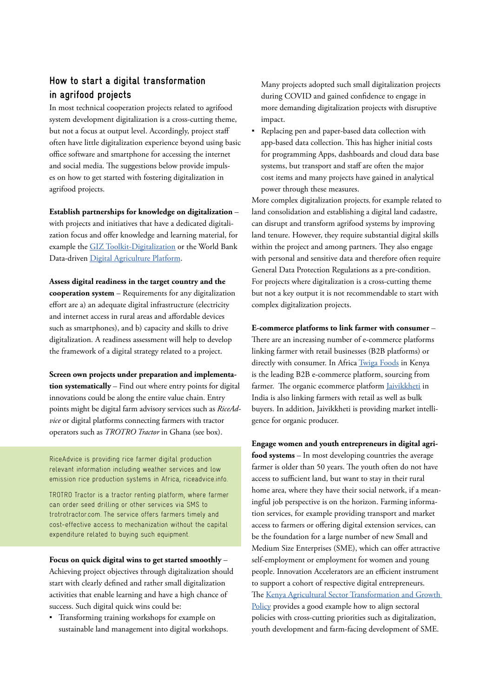## **How to start a digital transformation in agrifood projects**

In most technical cooperation projects related to agrifood system development digitalization is a cross-cutting theme, but not a focus at output level. Accordingly, project staff often have little digitalization experience beyond using basic office software and smartphone for accessing the internet and social media. The suggestions below provide impulses on how to get started with fostering digitalization in agrifood projects.

**Establish partnerships for knowledge on digitalization** –

with projects and initiatives that have a dedicated digitalization focus and offer knowledge and learning material, for example the [GIZ Toolkit-Digitalization](https://toolkit-digitalisierung.de/en/) or the World Bank Data-driven [Digital Agriculture Platform.](https://www.worldbank.org/digitalagriculture)

**Assess digital readiness in the target country and the cooperation system** – Requirements for any digitalization effort are a) an adequate digital infrastructure (electricity and internet access in rural areas and affordable devices such as smartphones), and b) capacity and skills to drive digitalization. A readiness assessment will help to develop the framework of a digital strategy related to a project.

**Screen own projects under preparation and implementation systematically** – Find out where entry points for digital innovations could be along the entire value chain. Entry points might be digital farm advisory services such as *RiceAdvice* or digital platforms connecting farmers with tractor operators such as *TROTRO Tractor* in Ghana (see box).

RiceAdvice is providing rice farmer digital production relevant information including weather services and low emission rice production systems in Africa, riceadvice.info.

TROTRO Tractor is a tractor renting platform, where farmer can order seed drilling or other services via SMS to trotrotractor.com. The service offers farmers timely and cost-effective access to mechanization without the capital expenditure related to buying such equipment.

**Focus on quick digital wins to get started smoothly** –

Achieving project objectives through digitalization should start with clearly defined and rather small digitalization activities that enable learning and have a high chance of success. Such digital quick wins could be:

▪ Transforming training workshops for example on sustainable land management into digital workshops. Many projects adopted such small digitalization projects during COVID and gained confidence to engage in more demanding digitalization projects with disruptive impact.

▪ Replacing pen and paper-based data collection with app-based data collection. This has higher initial costs for programming Apps, dashboards and cloud data base systems, but transport and staff are often the major cost items and many projects have gained in analytical power through these measures.

More complex digitalization projects, for example related to land consolidation and establishing a digital land cadastre, can disrupt and transform agrifood systems by improving land tenure. However, they require substantial digital skills within the project and among partners. They also engage with personal and sensitive data and therefore often require General Data Protection Regulations as a pre-condition. For projects where digitalization is a cross-cutting theme but not a key output it is not recommendable to start with complex digitalization projects.

**E-commerce platforms to link farmer with consumer** – There are an increasing number of e-commerce platforms linking farmer with retail businesses (B2B platforms) or directly with consumer. In [Africa Twiga Foods](https://twiga.com/) in Kenya is the leading B2B e-commerce platform, sourcing from farmer. The organic ecommerce platform [Jaivikkheti](https://www.jaivikkheti.in/) in India is also linking farmers with retail as well as bulk buyers. In addition, Jaivikkheti is providing market intelligence for organic producer.

**Engage women and youth entrepreneurs in digital agrifood systems** – In most developing countries the average farmer is older than 50 years. The youth often do not have access to sufficient land, but want to stay in their rural home area, where they have their social network, if a meaningful job perspective is on the horizon. Farming information services, for example providing transport and market access to farmers or offering digital extension services, can be the foundation for a large number of new Small and Medium Size Enterprises (SME), which can offer attractive self-employment or employment for women and young people. Innovation Accelerators are an efficient instrument to support a cohort of respective digital entrepreneurs. The [Kenya Agricultural Sector Transformation and Growth](http://kilimodata.developlocal.org/dataset/3ed81f6d-3b3d-4494-b14e-382ab59c59f6/resource/a46e7a7c-78f6-4fea-b3a0-5d91764a8c86/download/moai-astgs-abridged-v.4.pdf)  [Policy](http://kilimodata.developlocal.org/dataset/3ed81f6d-3b3d-4494-b14e-382ab59c59f6/resource/a46e7a7c-78f6-4fea-b3a0-5d91764a8c86/download/moai-astgs-abridged-v.4.pdf) provides a good example how to align sectoral policies with cross-cutting priorities such as digitalization, youth development and farm-facing development of SME.